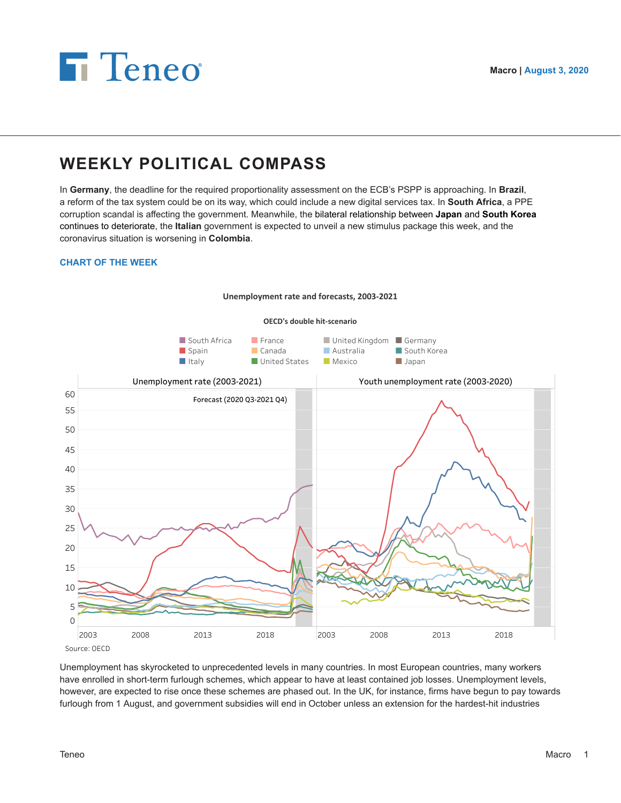



# **WEEKLY POLITICAL COMPASS**

In **Germany**, the deadline for the required proportionality assessment on the ECB's PSPP is approaching. In **Brazil**, a reform of the tax system could be on its way, which could include a new digital services tax. In **South Africa**, a PPE corruption scandal is affecting the government. Meanwhile, the bilateral relationship between **Japan** and **South Korea** continues to deteriorate, the **Italian** government is expected to unveil a new stimulus package this week, and the coronavirus situation is worsening in **Colombia**.

# **CHART OF THE WEEK**



#### Unemployment rate and forecasts, 2003-2021

**OECD's double hit-scenario** 

Unemployment has skyrocketed to unprecedented levels in many countries. In most European countries, many workers have enrolled in short-term furlough schemes, which appear to have at least contained job losses. Unemployment levels, however, are expected to rise once these schemes are phased out. In the UK, for instance, firms have begun to pay towards furlough from 1 August, and government subsidies will end in October unless an extension for the hardest-hit industries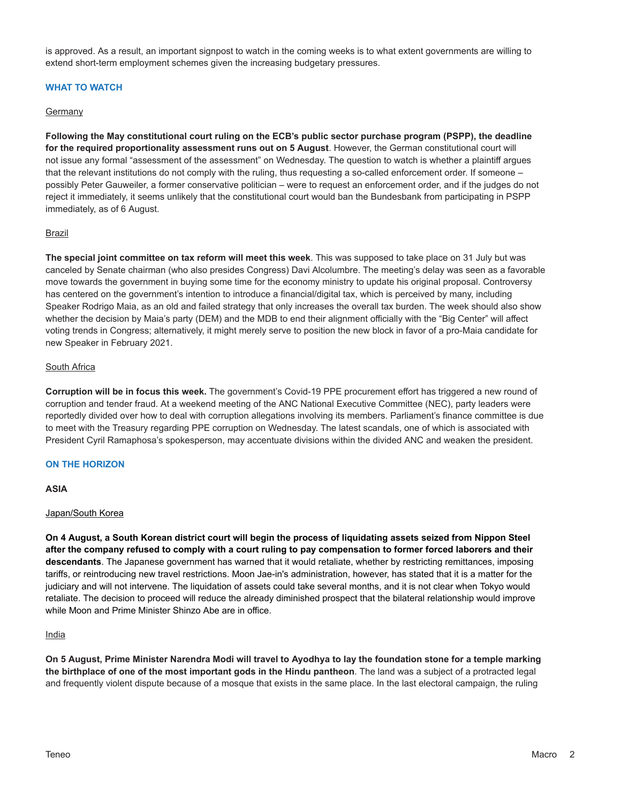is approved. As a result, an important signpost to watch in the coming weeks is to what extent governments are willing to extend short-term employment schemes given the increasing budgetary pressures.

## **WHAT TO WATCH**

## **Germany**

**Following the May constitutional court ruling on the ECB's public sector purchase program (PSPP), the deadline for the required proportionality assessment runs out on 5 August**. However, the German constitutional court will not issue any formal "assessment of the assessment" on Wednesday. The question to watch is whether a plaintiff argues that the relevant institutions do not comply with the ruling, thus requesting a so-called enforcement order. If someone – possibly Peter Gauweiler, a former conservative politician – were to request an enforcement order, and if the judges do not reject it immediately, it seems unlikely that the constitutional court would ban the Bundesbank from participating in PSPP immediately, as of 6 August.

## Brazil

**The special joint committee on tax reform will meet this week**. This was supposed to take place on 31 July but was canceled by Senate chairman (who also presides Congress) Davi Alcolumbre. The meeting's delay was seen as a favorable move towards the government in buying some time for the economy ministry to update his original proposal. Controversy has centered on the government's intention to introduce a financial/digital tax, which is perceived by many, including Speaker Rodrigo Maia, as an old and failed strategy that only increases the overall tax burden. The week should also show whether the decision by Maia's party (DEM) and the MDB to end their alignment officially with the "Big Center" will affect voting trends in Congress; alternatively, it might merely serve to position the new block in favor of a pro-Maia candidate for new Speaker in February 2021.

## South Africa

**Corruption will be in focus this week.** The government's Covid-19 PPE procurement effort has triggered a new round of corruption and tender fraud. At a weekend meeting of the ANC National Executive Committee (NEC), party leaders were reportedly divided over how to deal with corruption allegations involving its members. Parliament's finance committee is due to meet with the Treasury regarding PPE corruption on Wednesday. The latest scandals, one of which is associated with President Cyril Ramaphosa's spokesperson, may accentuate divisions within the divided ANC and weaken the president.

# **ON THE HORIZON**

# **ASIA**

# Japan/South Korea

**On 4 August, a South Korean district court will begin the process of liquidating assets seized from Nippon Steel after the company refused to comply with a court ruling to pay compensation to former forced laborers and their descendants**. The Japanese government has warned that it would retaliate, whether by restricting remittances, imposing tariffs, or reintroducing new travel restrictions. Moon Jae-in's administration, however, has stated that it is a matter for the judiciary and will not intervene. The liquidation of assets could take several months, and it is not clear when Tokyo would retaliate. The decision to proceed will reduce the already diminished prospect that the bilateral relationship would improve while Moon and Prime Minister Shinzo Abe are in office.

## India

**On 5 August, Prime Minister Narendra Modi will travel to Ayodhya to lay the foundation stone for a temple marking the birthplace of one of the most important gods in the Hindu pantheon**. The land was a subject of a protracted legal and frequently violent dispute because of a mosque that exists in the same place. In the last electoral campaign, the ruling